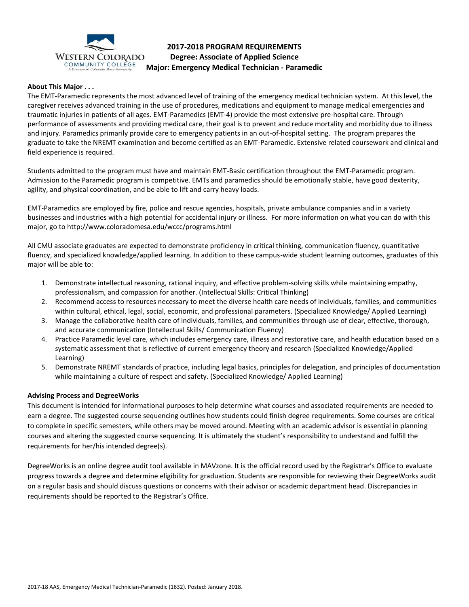

# **2017-2018 PROGRAM REQUIREMENTS Degree: Associate of Applied Science Major: Emergency Medical Technician - Paramedic**

### **About This Major . . .**

The EMT-Paramedic represents the most advanced level of training of the emergency medical technician system. At this level, the caregiver receives advanced training in the use of procedures, medications and equipment to manage medical emergencies and traumatic injuries in patients of all ages. EMT-Paramedics (EMT-4) provide the most extensive pre-hospital care. Through performance of assessments and providing medical care, their goal is to prevent and reduce mortality and morbidity due to illness and injury. Paramedics primarily provide care to emergency patients in an out-of-hospital setting. The program prepares the graduate to take the NREMT examination and become certified as an EMT-Paramedic. Extensive related coursework and clinical and field experience is required.

Students admitted to the program must have and maintain EMT-Basic certification throughout the EMT-Paramedic program. Admission to the Paramedic program is competitive. EMTs and paramedics should be emotionally stable, have good dexterity, agility, and physical coordination, and be able to lift and carry heavy loads.

EMT-Paramedics are employed by fire, police and rescue agencies, hospitals, private ambulance companies and in a variety businesses and industries with a high potential for accidental injury or illness. For more information on what you can do with this major, go to http://www.coloradomesa.edu/wccc/programs.html

All CMU associate graduates are expected to demonstrate proficiency in critical thinking, communication fluency, quantitative fluency, and specialized knowledge/applied learning. In addition to these campus-wide student learning outcomes, graduates of this major will be able to:

- 1. Demonstrate intellectual reasoning, rational inquiry, and effective problem-solving skills while maintaining empathy, professionalism, and compassion for another. (Intellectual Skills: Critical Thinking)
- 2. Recommend access to resources necessary to meet the diverse health care needs of individuals, families, and communities within cultural, ethical, legal, social, economic, and professional parameters. (Specialized Knowledge/ Applied Learning)
- 3. Manage the collaborative health care of individuals, families, and communities through use of clear, effective, thorough, and accurate communication (Intellectual Skills/ Communication Fluency)
- 4. Practice Paramedic level care, which includes emergency care, illness and restorative care, and health education based on a systematic assessment that is reflective of current emergency theory and research (Specialized Knowledge/Applied Learning)
- 5. Demonstrate NREMT standards of practice, including legal basics, principles for delegation, and principles of documentation while maintaining a culture of respect and safety. (Specialized Knowledge/ Applied Learning)

#### **Advising Process and DegreeWorks**

This document is intended for informational purposes to help determine what courses and associated requirements are needed to earn a degree. The suggested course sequencing outlines how students could finish degree requirements. Some courses are critical to complete in specific semesters, while others may be moved around. Meeting with an academic advisor is essential in planning courses and altering the suggested course sequencing. It is ultimately the student's responsibility to understand and fulfill the requirements for her/his intended degree(s).

DegreeWorks is an online degree audit tool available in MAVzone. It is the official record used by the Registrar's Office to evaluate progress towards a degree and determine eligibility for graduation. Students are responsible for reviewing their DegreeWorks audit on a regular basis and should discuss questions or concerns with their advisor or academic department head. Discrepancies in requirements should be reported to the Registrar's Office.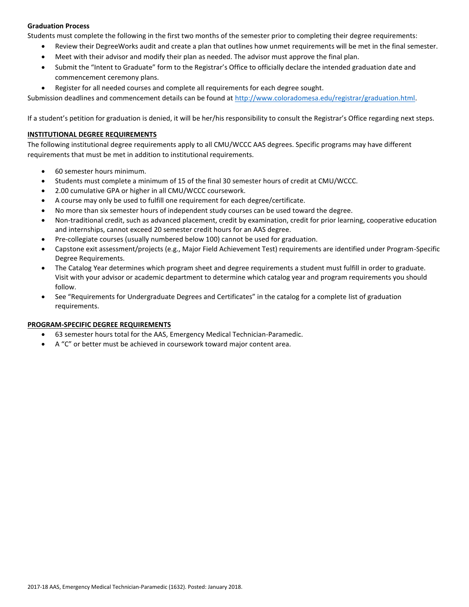# **Graduation Process**

Students must complete the following in the first two months of the semester prior to completing their degree requirements:

- Review their DegreeWorks audit and create a plan that outlines how unmet requirements will be met in the final semester.
- Meet with their advisor and modify their plan as needed. The advisor must approve the final plan.
- Submit the "Intent to Graduate" form to the Registrar's Office to officially declare the intended graduation date and commencement ceremony plans.
- Register for all needed courses and complete all requirements for each degree sought.

Submission deadlines and commencement details can be found at [http://www.coloradomesa.edu/registrar/graduation.html.](http://www.coloradomesa.edu/registrar/graduation.html)

If a student's petition for graduation is denied, it will be her/his responsibility to consult the Registrar's Office regarding next steps.

# **INSTITUTIONAL DEGREE REQUIREMENTS**

The following institutional degree requirements apply to all CMU/WCCC AAS degrees. Specific programs may have different requirements that must be met in addition to institutional requirements.

- 60 semester hours minimum.
- Students must complete a minimum of 15 of the final 30 semester hours of credit at CMU/WCCC.
- 2.00 cumulative GPA or higher in all CMU/WCCC coursework.
- A course may only be used to fulfill one requirement for each degree/certificate.
- No more than six semester hours of independent study courses can be used toward the degree.
- Non-traditional credit, such as advanced placement, credit by examination, credit for prior learning, cooperative education and internships, cannot exceed 20 semester credit hours for an AAS degree.
- Pre-collegiate courses (usually numbered below 100) cannot be used for graduation.
- Capstone exit assessment/projects (e.g., Major Field Achievement Test) requirements are identified under Program-Specific Degree Requirements.
- The Catalog Year determines which program sheet and degree requirements a student must fulfill in order to graduate. Visit with your advisor or academic department to determine which catalog year and program requirements you should follow.
- See "Requirements for Undergraduate Degrees and Certificates" in the catalog for a complete list of graduation requirements.

#### **PROGRAM-SPECIFIC DEGREE REQUIREMENTS**

- 63 semester hours total for the AAS, Emergency Medical Technician-Paramedic.
- A "C" or better must be achieved in coursework toward major content area.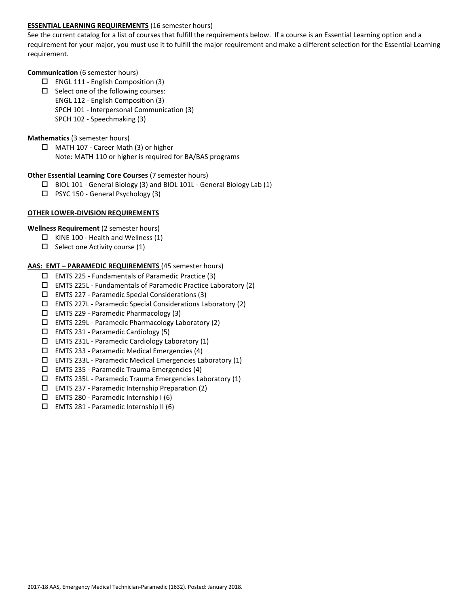# **ESSENTIAL LEARNING REQUIREMENTS** (16 semester hours)

See the current catalog for a list of courses that fulfill the requirements below. If a course is an Essential Learning option and a requirement for your major, you must use it to fulfill the major requirement and make a different selection for the Essential Learning requirement.

#### **Communication** (6 semester hours)

- $\Box$  ENGL 111 English Composition (3)
- $\square$  Select one of the following courses:
	- ENGL 112 English Composition (3)
		- SPCH 101 Interpersonal Communication (3)
	- SPCH 102 Speechmaking (3)

### **Mathematics** (3 semester hours)

□ MATH 107 - Career Math (3) or higher Note: MATH 110 or higher is required for BA/BAS programs

### **Other Essential Learning Core Courses** (7 semester hours)

- BIOL 101 General Biology (3) and BIOL 101L General Biology Lab (1)
- □ PSYC 150 General Psychology (3)

# **OTHER LOWER-DIVISION REQUIREMENTS**

# **Wellness Requirement** (2 semester hours)

- $\Box$  KINE 100 Health and Wellness (1)
- $\Box$  Select one Activity course (1)

### **AAS: EMT – PARAMEDIC REQUIREMENTS** (45 semester hours)

- $\Box$  EMTS 225 Fundamentals of Paramedic Practice (3)
- $\Box$  EMTS 225L Fundamentals of Paramedic Practice Laboratory (2)
- EMTS 227 Paramedic Special Considerations (3)
- EMTS 227L Paramedic Special Considerations Laboratory (2)
- $\Box$  EMTS 229 Paramedic Pharmacology (3)
- $\Box$  EMTS 229L Paramedic Pharmacology Laboratory (2)
- EMTS 231 Paramedic Cardiology (5)
- $\Box$  EMTS 231L Paramedic Cardiology Laboratory (1)
- $\Box$  EMTS 233 Paramedic Medical Emergencies (4)
- $\Box$  EMTS 233L Paramedic Medical Emergencies Laboratory (1)
- $\square$  EMTS 235 Paramedic Trauma Emergencies (4)
- $\Box$  EMTS 235L Paramedic Trauma Emergencies Laboratory (1)
- $\Box$  EMTS 237 Paramedic Internship Preparation (2)
- $\Box$  EMTS 280 Paramedic Internship I (6)
- EMTS 281 Paramedic Internship II (6)